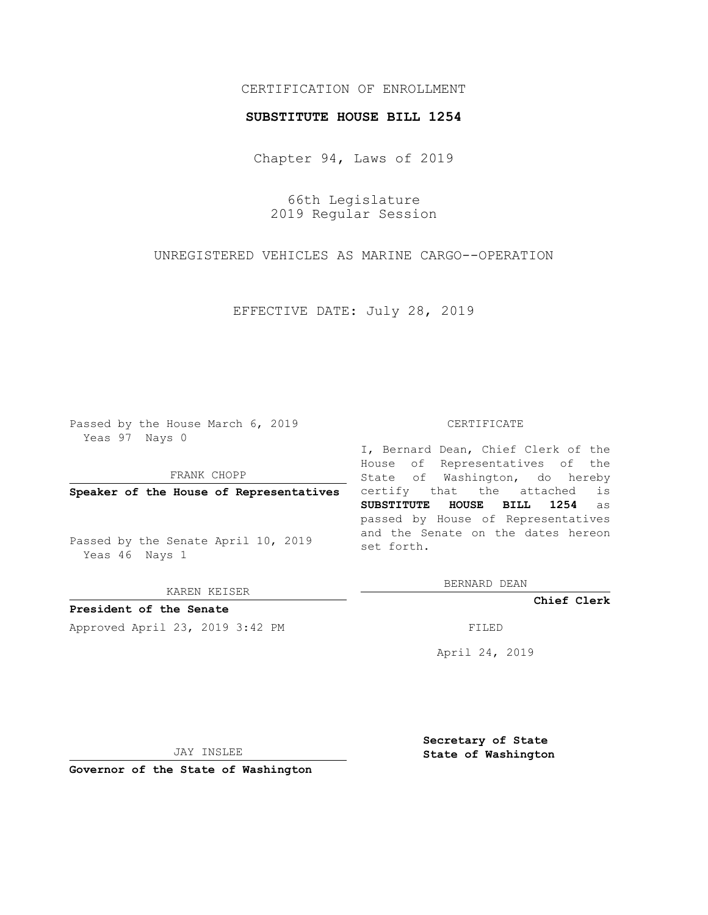## CERTIFICATION OF ENROLLMENT

## **SUBSTITUTE HOUSE BILL 1254**

Chapter 94, Laws of 2019

66th Legislature 2019 Regular Session

UNREGISTERED VEHICLES AS MARINE CARGO--OPERATION

EFFECTIVE DATE: July 28, 2019

Passed by the House March 6, 2019 Yeas 97 Nays 0

FRANK CHOPP

**Speaker of the House of Representatives**

Passed by the Senate April 10, 2019 Yeas 46 Nays 1

KAREN KEISER

**President of the Senate**

Approved April 23, 2019 3:42 PM FILED

## CERTIFICATE

I, Bernard Dean, Chief Clerk of the House of Representatives of the State of Washington, do hereby certify that the attached is **SUBSTITUTE HOUSE BILL 1254** as passed by House of Representatives and the Senate on the dates hereon set forth.

BERNARD DEAN

**Chief Clerk**

April 24, 2019

JAY INSLEE

**Governor of the State of Washington**

**Secretary of State State of Washington**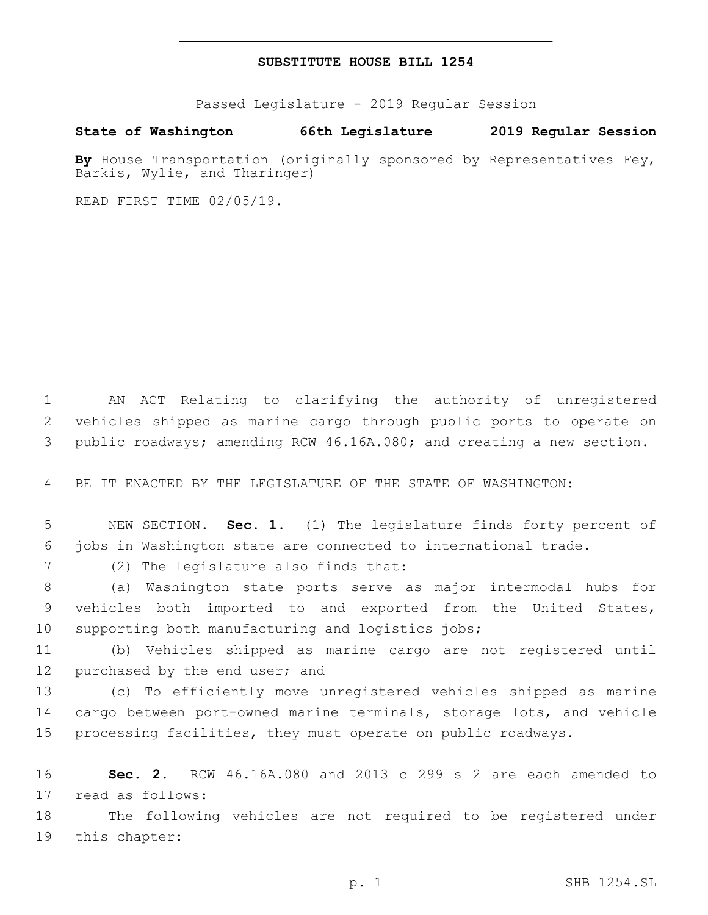## **SUBSTITUTE HOUSE BILL 1254**

Passed Legislature - 2019 Regular Session

**State of Washington 66th Legislature 2019 Regular Session**

**By** House Transportation (originally sponsored by Representatives Fey, Barkis, Wylie, and Tharinger)

READ FIRST TIME 02/05/19.

1 AN ACT Relating to clarifying the authority of unregistered 2 vehicles shipped as marine cargo through public ports to operate on 3 public roadways; amending RCW 46.16A.080; and creating a new section.

4 BE IT ENACTED BY THE LEGISLATURE OF THE STATE OF WASHINGTON:

5 NEW SECTION. **Sec. 1.** (1) The legislature finds forty percent of 6 jobs in Washington state are connected to international trade.

(2) The legislature also finds that:7

8 (a) Washington state ports serve as major intermodal hubs for 9 vehicles both imported to and exported from the United States, 10 supporting both manufacturing and logistics jobs;

11 (b) Vehicles shipped as marine cargo are not registered until 12 purchased by the end user; and

13 (c) To efficiently move unregistered vehicles shipped as marine 14 cargo between port-owned marine terminals, storage lots, and vehicle 15 processing facilities, they must operate on public roadways.

16 **Sec. 2.** RCW 46.16A.080 and 2013 c 299 s 2 are each amended to 17 read as follows:

18 The following vehicles are not required to be registered under 19 this chapter: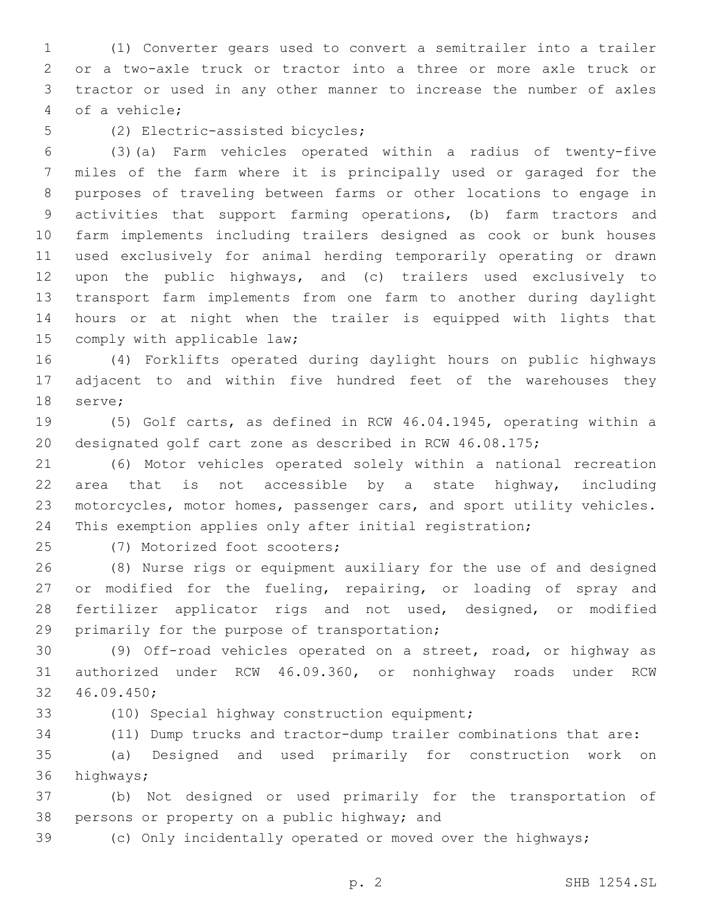(1) Converter gears used to convert a semitrailer into a trailer or a two-axle truck or tractor into a three or more axle truck or tractor or used in any other manner to increase the number of axles of a vehicle;4

5 (2) Electric-assisted bicycles;

 (3)(a) Farm vehicles operated within a radius of twenty-five miles of the farm where it is principally used or garaged for the purposes of traveling between farms or other locations to engage in activities that support farming operations, (b) farm tractors and farm implements including trailers designed as cook or bunk houses used exclusively for animal herding temporarily operating or drawn upon the public highways, and (c) trailers used exclusively to transport farm implements from one farm to another during daylight hours or at night when the trailer is equipped with lights that 15 comply with applicable law;

 (4) Forklifts operated during daylight hours on public highways adjacent to and within five hundred feet of the warehouses they 18 serve;

 (5) Golf carts, as defined in RCW 46.04.1945, operating within a designated golf cart zone as described in RCW 46.08.175;

 (6) Motor vehicles operated solely within a national recreation area that is not accessible by a state highway, including motorcycles, motor homes, passenger cars, and sport utility vehicles. This exemption applies only after initial registration;

25 (7) Motorized foot scooters;

 (8) Nurse rigs or equipment auxiliary for the use of and designed or modified for the fueling, repairing, or loading of spray and fertilizer applicator rigs and not used, designed, or modified 29 primarily for the purpose of transportation;

 (9) Off-road vehicles operated on a street, road, or highway as authorized under RCW 46.09.360, or nonhighway roads under RCW 46.09.450;32

33 (10) Special highway construction equipment;

(11) Dump trucks and tractor-dump trailer combinations that are:

 (a) Designed and used primarily for construction work on 36 highways;

 (b) Not designed or used primarily for the transportation of 38 persons or property on a public highway; and

(c) Only incidentally operated or moved over the highways;